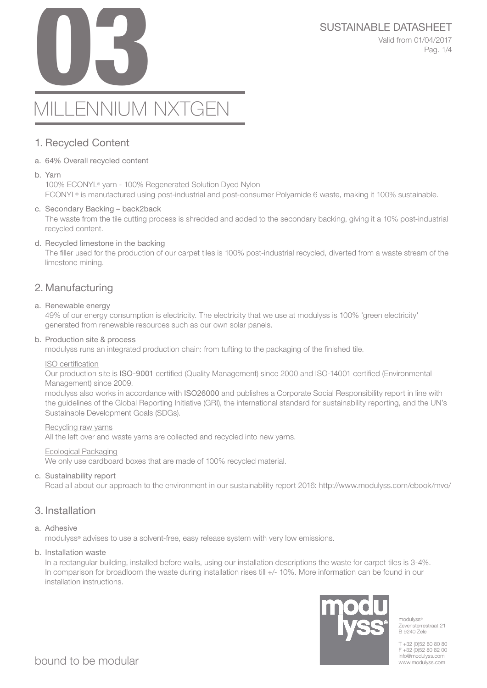# SUSTAINABLE DATASHEET<br>Valid from 01/04/2017<br>Pag. 1/4

Valid from 01/04/2017 Pag. 1/4

# MILLENNIUM NXTGEN

# 1. Recycled Content

# a. 64% Overall recycled content

b. Yarn

100% ECONYL® yarn - 100% Regenerated Solution Dyed Nylon ECONYL® is manufactured using post-industrial and post-consumer Polyamide 6 waste, making it 100% sustainable.

# c. Secondary Backing – back2back

The waste from the tile cutting process is shredded and added to the secondary backing, giving it a 10% post-industrial recycled content.

# d. Recycled limestone in the backing

The filler used for the production of our carpet tiles is 100% post-industrial recycled, diverted from a waste stream of the limestone mining.

# 2. Manufacturing

# a. Renewable energy

49% of our energy consumption is electricity. The electricity that we use at modulyss is 100% 'green electricity' generated from renewable resources such as our own solar panels.

### b. Production site & process

modulyss runs an integrated production chain: from tufting to the packaging of the finished tile.

#### ISO certification

Our production site is ISO-9001 certified (Quality Management) since 2000 and ISO-14001 certified (Environmental Management) since 2009.

modulyss also works in accordance with ISO26000 and publishes a Corporate Social Responsibility report in line with the guidelines of the Global Reporting Initiative (GRI), the international standard for sustainability reporting, and the UN's Sustainable Development Goals (SDGs).

#### Recycling raw yarns

All the left over and waste yarns are collected and recycled into new yarns.

#### Ecological Packaging

We only use cardboard boxes that are made of 100% recycled material.

#### c. Sustainability report

Read all about our approach to the environment in our sustainability report 2016: http://www.modulyss.com/ebook/mvo/

# 3. Installation

#### a. Adhesive

modulyss® advises to use a solvent-free, easy release system with very low emissions.

#### b. Installation waste

In a rectangular building, installed before walls, using our installation descriptions the waste for carpet tiles is 3-4%. In comparison for broadloom the waste during installation rises till +/- 10%. More information can be found in our installation instructions.



modulyss<sup>®</sup> Zevensterrestraat 21 B 9240 Zele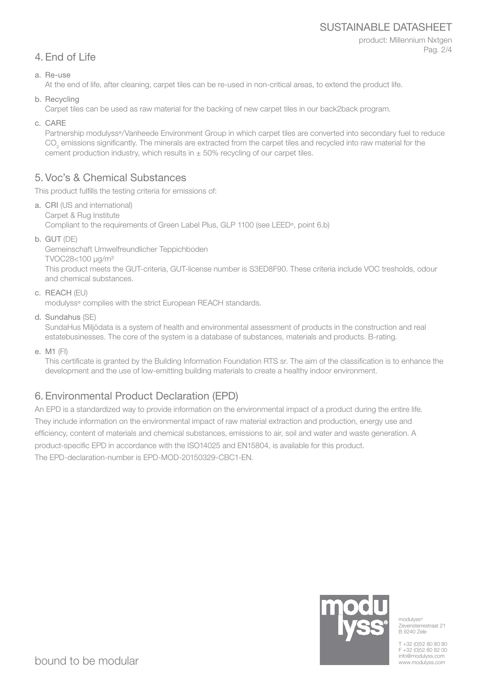# SUSTAINABLE DATASHEET

# product: Millennium Nxtgen Pag. 2/4

# 4. End of Life

a. Re-use

At the end of life, after cleaning, carpet tiles can be re-used in non-critical areas, to extend the product life.

b. Recycling

Carpet tiles can be used as raw material for the backing of new carpet tiles in our back2back program.

c. CARE

Partnership modulyss®/Vanheede Environment Group in which carpet tiles are converted into secondary fuel to reduce  $\mathrm{CO}_2$  emissions significantly. The minerals are extracted from the carpet tiles and recycled into raw material for the cement production industry, which results in  $\pm$  50% recycling of our carpet tiles.

# 5. Voc's & Chemical Substances

This product fulfills the testing criteria for emissions of:

- a. CRI (US and international) Carpet & Rug Institute Compliant to the requirements of Green Label Plus, GLP 1100 (see LEED®, point 6.b)
- b. GUT (DE)

Gemeinschaft Umwelfreundlicher Teppichboden TVOC28<100 μg/m³ This product meets the GUT-criteria, GUT-license number is S3ED8F90. These criteria include VOC tresholds, odour and chemical substances.

c. REACH (EU)

modulyss® complies with the strict European REACH standards.

d. Sundahus (SE)

SundaHus Miljödata is a system of health and environmental assessment of products in the construction and real estatebusinesses. The core of the system is a database of substances, materials and products. B-rating.

e. M1 (FI)

This certificate is granted by the Building Information Foundation RTS sr. The aim of the classification is to enhance the development and the use of low-emitting building materials to create a healthy indoor environment.

# 6. Environmental Product Declaration (EPD)

An EPD is a standardized way to provide information on the environmental impact of a product during the entire life. They include information on the environmental impact of raw material extraction and production, energy use and efficiency, content of materials and chemical substances, emissions to air, soil and water and waste generation. A product-specific EPD in accordance with the ISO14025 and EN15804, is available for this product. The EPD-declaration-number is EPD-MOD-20150329-CBC1-EN.



modulyss<sup>®</sup> Zevensterrestraat 21 B 9240 Zele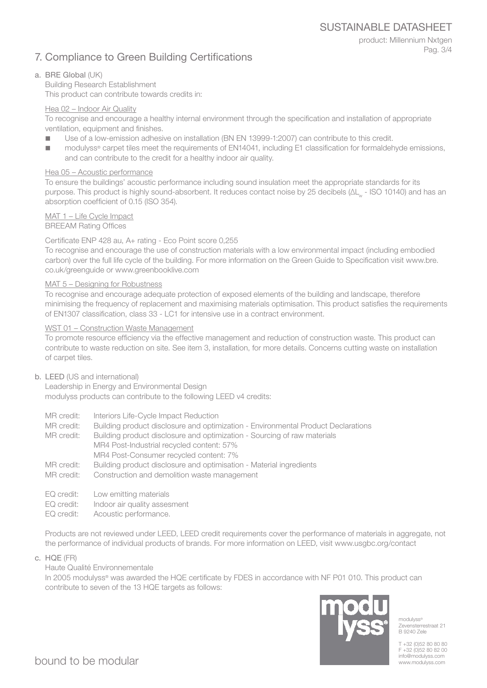SUSTAINABLE DATASHEET

# 7. Compliance to Green Building Certifications

product: Millennium Nxtgen Pag. 3/4

# a. BRE Global (UK)

Building Research Establishment This product can contribute towards credits in:

### Hea 02 – Indoor Air Quality

To recognise and encourage a healthy internal environment through the specification and installation of appropriate ventilation, equipment and finishes.

- Use of a low-emission adhesive on installation (BN EN 13999-1:2007) can contribute to this credit.
- modulyss<sup>®</sup> carpet tiles meet the requirements of EN14041, including E1 classification for formaldehyde emissions, and can contribute to the credit for a healthy indoor air quality.

# Hea 05 – Acoustic performance

To ensure the buildings' acoustic performance including sound insulation meet the appropriate standards for its purpose. This product is highly sound-absorbent. It reduces contact noise by 25 decibels (ΔL<sub>w</sub> - ISO 10140) and has an absorption coefficient of 0.15 (ISO 354).

# MAT 1 – Life Cycle Impact

BREEAM Rating Offices

# Certificate ENP 428 au, A+ rating - Eco Point score 0,255

To recognise and encourage the use of construction materials with a low environmental impact (including embodied carbon) over the full life cycle of the building. For more information on the Green Guide to Specification visit www.bre. co.uk/greenguide or www.greenbooklive.com

#### MAT 5 – Designing for Robustness

To recognise and encourage adequate protection of exposed elements of the building and landscape, therefore minimising the frequency of replacement and maximising materials optimisation. This product satisfies the requirements of EN1307 classification, class 33 - LC1 for intensive use in a contract environment.

#### WST 01 – Construction Waste Management

To promote resource efficiency via the effective management and reduction of construction waste. This product can contribute to waste reduction on site. See item 3, installation, for more details. Concerns cutting waste on installation of carpet tiles.

#### b. LEED (US and international)

Leadership in Energy and Environmental Design modulyss products can contribute to the following LEED v4 credits:

- MR credit: Interiors Life-Cycle Impact Reduction
- MR credit: Building product disclosure and optimization Environmental Product Declarations
- MR credit: Building product disclosure and optimization Sourcing of raw materials MR4 Post-Industrial recycled content: 57% MR4 Post-Consumer recycled content: 7%
- MR credit: Building product disclosure and optimisation Material ingredients
- MR credit: Construction and demolition waste management
- EQ credit: Low emitting materials
- EQ credit: Indoor air quality assesment
- EQ credit: Acoustic performance.

Products are not reviewed under LEED, LEED credit requirements cover the performance of materials in aggregate, not the performance of individual products of brands. For more information on LEED, visit www.usgbc.org/contact

c. HQE (FR)

Haute Qualité Environnementale

In 2005 modulyss® was awarded the HQE certificate by FDES in accordance with NF P01 010. This product can contribute to seven of the 13 HQE targets as follows:



modulyss® Zevensterrestraat 21 B 9240 Zele